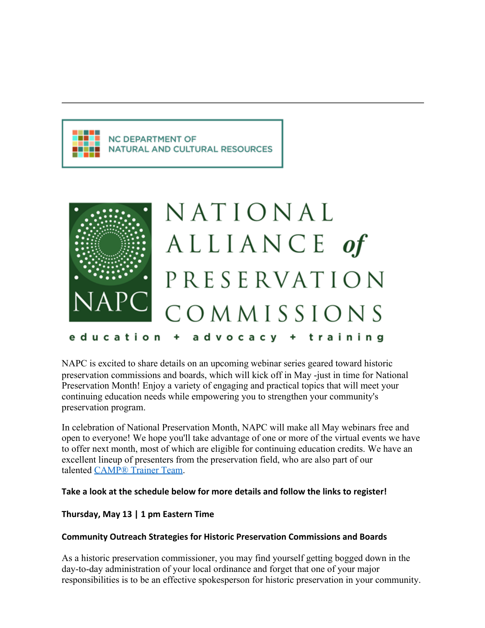# **NC DEPARTMENT OF NATURAL AND CULTURAL RESOURCES**



NAPC is excited to share details on an upcoming webinar series geared toward historic preservation commissions and boards, which will kick off in May -just in time for National Preservation Month! Enjoy a variety of engaging and practical topics that will meet your continuing education needs while empowering you to strengthen your community's preservation program.

In celebration of National Preservation Month, NAPC will make all May webinars free and open to everyone! We hope you'll take advantage of one or more of the virtual events we have to offer next month, most of which are eligible for continuing education credits. We have an excellent lineup of presenters from the preservation field, who are also part of our talented [CAMP® Trainer Team.](https://urldefense.com/v3/__https:/napcommissions.org/camp-trainer-biographies/__;!!HYmSToo!JUII-4nolfvcuXlBQs8xfoctMw1teG5ZE1hbwn1gsTGfnhqYWFzxJZxumpk07Uag0CVE1jE$)

## **Take a look at the schedule below for more details and follow the links to register!**

## **Thursday, May 13 | 1 pm Eastern Time**

## **Community Outreach Strategies for Historic Preservation Commissions and Boards**

As a historic preservation commissioner, you may find yourself getting bogged down in the day-to-day administration of your local ordinance and forget that one of your major responsibilities is to be an effective spokesperson for historic preservation in your community.